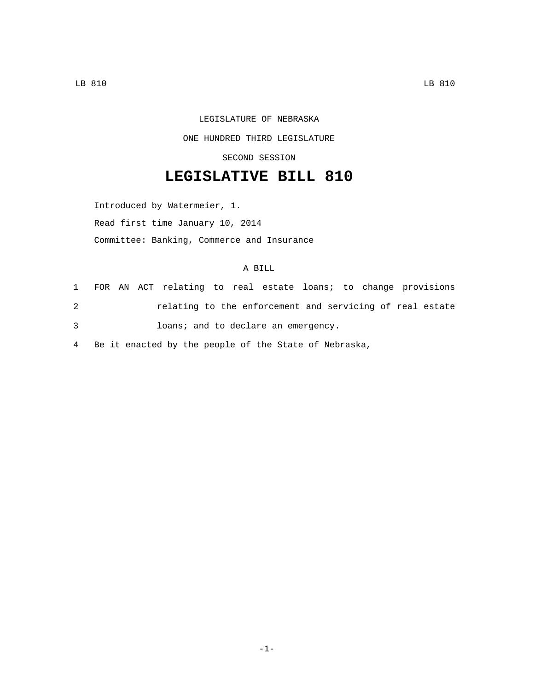## LEGISLATURE OF NEBRASKA ONE HUNDRED THIRD LEGISLATURE

SECOND SESSION

## **LEGISLATIVE BILL 810**

Introduced by Watermeier, 1. Read first time January 10, 2014 Committee: Banking, Commerce and Insurance

## A BILL

|   |  | 1 FOR AN ACT relating to real estate loans; to change provisions |  |  |  |  |
|---|--|------------------------------------------------------------------|--|--|--|--|
| 2 |  | relating to the enforcement and servicing of real estate         |  |  |  |  |
| 3 |  | loans; and to declare an emergency.                              |  |  |  |  |

4 Be it enacted by the people of the State of Nebraska,